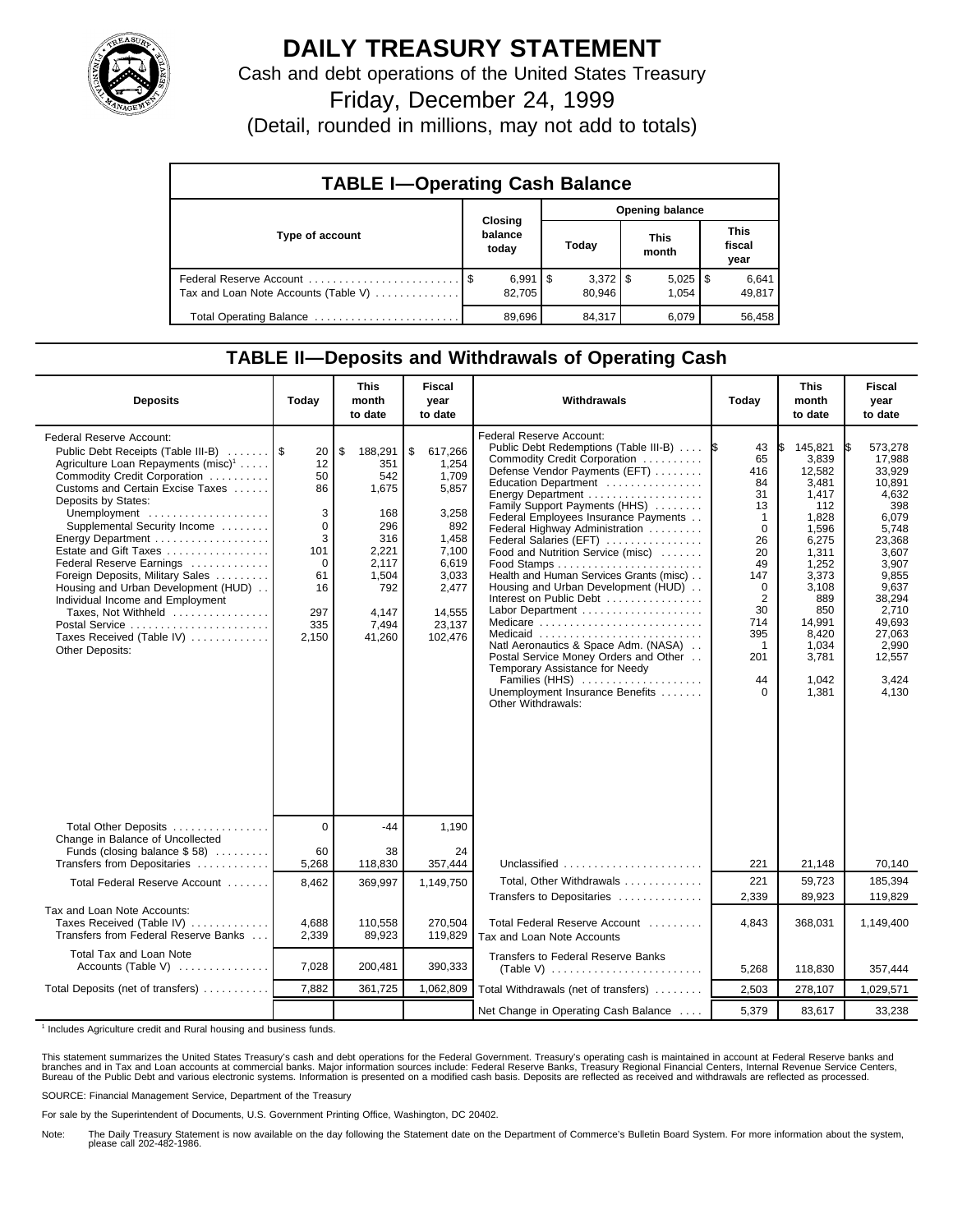

## **DAILY TREASURY STATEMENT**

Cash and debt operations of the United States Treasury

Friday, December 24, 1999

(Detail, rounded in millions, may not add to totals)

| <b>TABLE I-Operating Cash Balance</b> |  |                              |  |        |  |                       |  |                               |  |
|---------------------------------------|--|------------------------------|--|--------|--|-----------------------|--|-------------------------------|--|
|                                       |  | <b>Opening balance</b>       |  |        |  |                       |  |                               |  |
| Type of account                       |  | Closing<br>balance<br>today  |  | Today  |  | <b>This</b><br>month  |  | <b>This</b><br>fiscal<br>year |  |
| Tax and Loan Note Accounts (Table V)  |  | $6,991$ $\sqrt{5}$<br>82.705 |  | 80.946 |  | $5,025$   \$<br>1.054 |  | 6,641<br>49,817               |  |
| Total Operating Balance               |  | 89.696                       |  | 84,317 |  | 6.079                 |  | 56.458                        |  |

## **TABLE II—Deposits and Withdrawals of Operating Cash**

| <b>Deposits</b>                                                                                                                                                                                                                                                                                                                                                                                                                                                                                                                                       | Today                                                                                        | <b>This</b><br>month<br>to date                                                                                         | <b>Fiscal</b><br>year<br>to date                                                                                                     | Withdrawals                                                                                                                                                                                                                                                                                                                                                                                                                                                                                                                                                                                                                                                                                                                | Today                                                                                                                                                             | <b>This</b><br>month<br>to date                                                                                                                                                         | Fiscal<br>year<br>to date                                                                                                                                                                                |
|-------------------------------------------------------------------------------------------------------------------------------------------------------------------------------------------------------------------------------------------------------------------------------------------------------------------------------------------------------------------------------------------------------------------------------------------------------------------------------------------------------------------------------------------------------|----------------------------------------------------------------------------------------------|-------------------------------------------------------------------------------------------------------------------------|--------------------------------------------------------------------------------------------------------------------------------------|----------------------------------------------------------------------------------------------------------------------------------------------------------------------------------------------------------------------------------------------------------------------------------------------------------------------------------------------------------------------------------------------------------------------------------------------------------------------------------------------------------------------------------------------------------------------------------------------------------------------------------------------------------------------------------------------------------------------------|-------------------------------------------------------------------------------------------------------------------------------------------------------------------|-----------------------------------------------------------------------------------------------------------------------------------------------------------------------------------------|----------------------------------------------------------------------------------------------------------------------------------------------------------------------------------------------------------|
| <b>Federal Reserve Account:</b><br>Public Debt Receipts (Table III-B)<br>Agriculture Loan Repayments (misc) <sup>1</sup><br>Commodity Credit Corporation<br>Customs and Certain Excise Taxes<br>Deposits by States:<br>Unemployment<br>Supplemental Security Income<br>Energy Department<br>Estate and Gift Taxes<br>Federal Reserve Earnings<br>Foreign Deposits, Military Sales<br>Housing and Urban Development (HUD)<br>Individual Income and Employment<br>Taxes, Not Withheld<br>Postal Service<br>Taxes Received (Table IV)<br>Other Deposits: | 20<br>12<br>50<br>86<br>3<br>$\mathbf 0$<br>3<br>101<br>0<br>61<br>16<br>297<br>335<br>2,150 | \$<br>188,291<br>351<br>542<br>1,675<br>168<br>296<br>316<br>2.221<br>2,117<br>1,504<br>792<br>4,147<br>7,494<br>41,260 | \$<br>617,266<br>1,254<br>1,709<br>5,857<br>3,258<br>892<br>1,458<br>7.100<br>6,619<br>3,033<br>2,477<br>14,555<br>23,137<br>102,476 | <b>Federal Reserve Account:</b><br>Public Debt Redemptions (Table III-B)  S<br>Commodity Credit Corporation<br>Defense Vendor Payments (EFT)<br>Education Department<br>Energy Department<br>Family Support Payments (HHS)<br>Federal Employees Insurance Payments<br>Federal Highway Administration<br>Federal Salaries (EFT)<br>Food and Nutrition Service (misc)<br>Health and Human Services Grants (misc)<br>Housing and Urban Development (HUD)<br>Interest on Public Debt<br>Labor Department<br>Medicare<br>Medicaid<br>Natl Aeronautics & Space Adm. (NASA)<br>Postal Service Money Orders and Other<br>Temporary Assistance for Needy<br>Families (HHS)<br>Unemployment Insurance Benefits<br>Other Withdrawals: | 43<br>65<br>416<br>84<br>31<br>13<br>$\overline{1}$<br>$\Omega$<br>26<br>20<br>49<br>147<br>$\Omega$<br>2<br>30<br>714<br>395<br>$\overline{1}$<br>201<br>44<br>0 | 145.821<br>3,839<br>12,582<br>3,481<br>1,417<br>112<br>1,828<br>1.596<br>6,275<br>1,311<br>1.252<br>3,373<br>3,108<br>889<br>850<br>14,991<br>8,420<br>1,034<br>3,781<br>1.042<br>1,381 | 573.278<br>1\$<br>17,988<br>33,929<br>10,891<br>4,632<br>398<br>6,079<br>5.748<br>23,368<br>3,607<br>3.907<br>9,855<br>9,637<br>38.294<br>2,710<br>49.693<br>27,063<br>2,990<br>12,557<br>3.424<br>4,130 |
| Total Other Deposits<br>Change in Balance of Uncollected                                                                                                                                                                                                                                                                                                                                                                                                                                                                                              | $\overline{0}$                                                                               | -44                                                                                                                     | 1,190                                                                                                                                |                                                                                                                                                                                                                                                                                                                                                                                                                                                                                                                                                                                                                                                                                                                            |                                                                                                                                                                   |                                                                                                                                                                                         |                                                                                                                                                                                                          |
| Funds (closing balance \$58)<br>Transfers from Depositaries                                                                                                                                                                                                                                                                                                                                                                                                                                                                                           | 60<br>5,268                                                                                  | 38<br>118,830                                                                                                           | 24<br>357,444                                                                                                                        | Unclassified                                                                                                                                                                                                                                                                                                                                                                                                                                                                                                                                                                                                                                                                                                               | 221                                                                                                                                                               | 21,148                                                                                                                                                                                  | 70,140                                                                                                                                                                                                   |
| Total Federal Reserve Account                                                                                                                                                                                                                                                                                                                                                                                                                                                                                                                         | 8,462                                                                                        | 369,997                                                                                                                 | 1,149,750                                                                                                                            | Total, Other Withdrawals                                                                                                                                                                                                                                                                                                                                                                                                                                                                                                                                                                                                                                                                                                   | 221                                                                                                                                                               | 59.723                                                                                                                                                                                  | 185,394                                                                                                                                                                                                  |
| Tax and Loan Note Accounts:<br>Taxes Received (Table IV)<br>Transfers from Federal Reserve Banks                                                                                                                                                                                                                                                                                                                                                                                                                                                      | 4,688<br>2,339                                                                               | 110,558<br>89,923                                                                                                       | 270.504<br>119,829                                                                                                                   | Transfers to Depositaries<br>Total Federal Reserve Account<br>Tax and Loan Note Accounts                                                                                                                                                                                                                                                                                                                                                                                                                                                                                                                                                                                                                                   | 2,339<br>4,843                                                                                                                                                    | 89,923<br>368,031                                                                                                                                                                       | 119,829<br>1,149,400                                                                                                                                                                                     |
| Total Tax and Loan Note<br>Accounts (Table V) $\dots\dots\dots\dots$                                                                                                                                                                                                                                                                                                                                                                                                                                                                                  | 7,028                                                                                        | 200,481                                                                                                                 | 390,333                                                                                                                              | Transfers to Federal Reserve Banks                                                                                                                                                                                                                                                                                                                                                                                                                                                                                                                                                                                                                                                                                         | 5,268                                                                                                                                                             | 118,830                                                                                                                                                                                 | 357,444                                                                                                                                                                                                  |
| Total Deposits (net of transfers)                                                                                                                                                                                                                                                                                                                                                                                                                                                                                                                     | 7,882                                                                                        | 361,725                                                                                                                 | 1,062,809                                                                                                                            | Total Withdrawals (net of transfers)                                                                                                                                                                                                                                                                                                                                                                                                                                                                                                                                                                                                                                                                                       | 2,503                                                                                                                                                             | 278,107                                                                                                                                                                                 | 1,029,571                                                                                                                                                                                                |
|                                                                                                                                                                                                                                                                                                                                                                                                                                                                                                                                                       |                                                                                              |                                                                                                                         |                                                                                                                                      | Net Change in Operating Cash Balance                                                                                                                                                                                                                                                                                                                                                                                                                                                                                                                                                                                                                                                                                       | 5,379                                                                                                                                                             | 83,617                                                                                                                                                                                  | 33,238                                                                                                                                                                                                   |

<sup>1</sup> Includes Agriculture credit and Rural housing and business funds.

This statement summarizes the United States Treasury's cash and debt operations for the Federal Government. Treasury's operating cash is maintained in account at Federal Reserve banks and<br>branches and in Tax and Loan accou

SOURCE: Financial Management Service, Department of the Treasury

For sale by the Superintendent of Documents, U.S. Government Printing Office, Washington, DC 20402.

Note: The Daily Treasury Statement is now available on the day following the Statement date on the Department of Commerce's Bulletin Board System. For more information about the system, please call 202-482-1986.